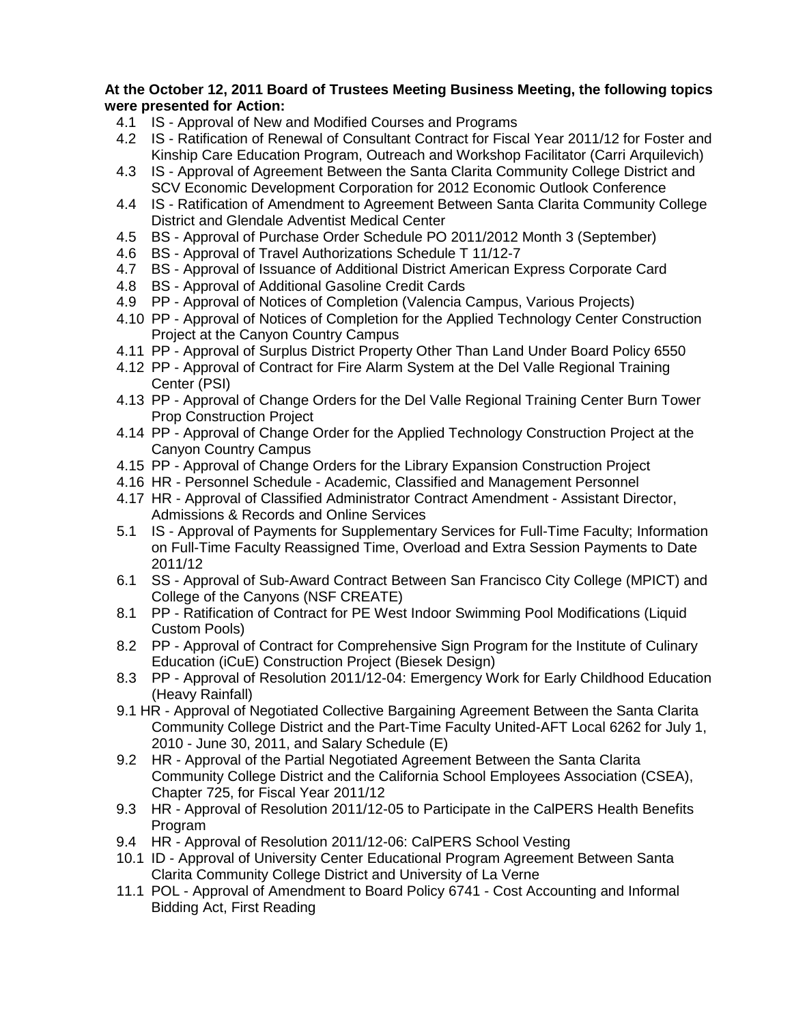## **At the October 12, 2011 Board of Trustees Meeting Business Meeting, the following topics were presented for Action:**

- 4.1 IS Approval of New and Modified Courses and Programs
- 4.2 IS Ratification of Renewal of Consultant Contract for Fiscal Year 2011/12 for Foster and Kinship Care Education Program, Outreach and Workshop Facilitator (Carri Arquilevich)
- 4.3 IS Approval of Agreement Between the Santa Clarita Community College District and SCV Economic Development Corporation for 2012 Economic Outlook Conference
- 4.4 IS Ratification of Amendment to Agreement Between Santa Clarita Community College District and Glendale Adventist Medical Center
- 4.5 BS Approval of Purchase Order Schedule PO 2011/2012 Month 3 (September)
- 4.6 BS Approval of Travel Authorizations Schedule T 11/12-7
- 4.7 BS Approval of Issuance of Additional District American Express Corporate Card
- 4.8 BS Approval of Additional Gasoline Credit Cards
- 4.9 PP Approval of Notices of Completion (Valencia Campus, Various Projects)
- 4.10 PP Approval of Notices of Completion for the Applied Technology Center Construction Project at the Canyon Country Campus
- 4.11 PP Approval of Surplus District Property Other Than Land Under Board Policy 6550
- 4.12 PP Approval of Contract for Fire Alarm System at the Del Valle Regional Training Center (PSI)
- 4.13 PP Approval of Change Orders for the Del Valle Regional Training Center Burn Tower Prop Construction Project
- 4.14 PP Approval of Change Order for the Applied Technology Construction Project at the Canyon Country Campus
- 4.15 PP Approval of Change Orders for the Library Expansion Construction Project
- 4.16 HR Personnel Schedule Academic, Classified and Management Personnel
- 4.17 HR Approval of Classified Administrator Contract Amendment Assistant Director, Admissions & Records and Online Services
- 5.1 IS Approval of Payments for Supplementary Services for Full-Time Faculty; Information on Full-Time Faculty Reassigned Time, Overload and Extra Session Payments to Date 2011/12
- 6.1 SS Approval of Sub-Award Contract Between San Francisco City College (MPICT) and College of the Canyons (NSF CREATE)
- 8.1 PP Ratification of Contract for PE West Indoor Swimming Pool Modifications (Liquid Custom Pools)
- 8.2 PP Approval of Contract for Comprehensive Sign Program for the Institute of Culinary Education (iCuE) Construction Project (Biesek Design)
- 8.3 PP Approval of Resolution 2011/12-04: Emergency Work for Early Childhood Education (Heavy Rainfall)
- 9.1 HR Approval of Negotiated Collective Bargaining Agreement Between the Santa Clarita Community College District and the Part-Time Faculty United-AFT Local 6262 for July 1, 2010 - June 30, 2011, and Salary Schedule (E)
- 9.2 HR Approval of the Partial Negotiated Agreement Between the Santa Clarita Community College District and the California School Employees Association (CSEA), Chapter 725, for Fiscal Year 2011/12
- 9.3 HR Approval of Resolution 2011/12-05 to Participate in the CalPERS Health Benefits Program
- 9.4 HR Approval of Resolution 2011/12-06: CalPERS School Vesting
- 10.1 ID Approval of University Center Educational Program Agreement Between Santa Clarita Community College District and University of La Verne
- 11.1 POL Approval of Amendment to Board Policy 6741 Cost Accounting and Informal Bidding Act, First Reading